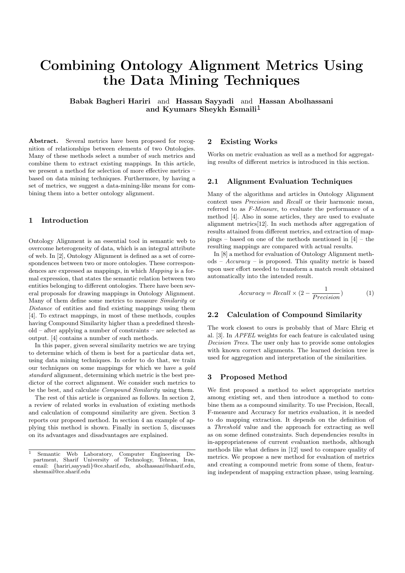# Combining Ontology Alignment Metrics Using the Data Mining Techniques

Babak Bagheri Hariri and Hassan Sayyadi and Hassan Abolhassani and Kyumars Sheykh Esmaili 1

Abstract. Several metrics have been proposed for recognition of relationships between elements of two Ontologies. Many of these methods select a number of such metrics and combine them to extract existing mappings. In this article, we present a method for selection of more effective metrics – based on data mining techniques. Furthermore, by having a set of metrics, we suggest a data-mining-like means for combining them into a better ontology alignment.

## 1 Introduction

Ontology Alignment is an essential tool in semantic web to overcome heterogeneity of data, which is an integral attribute of web. In [2], Ontology Alignment is defined as a set of correspondences between two or more ontologies. These correspondences are expressed as mappings, in which Mapping is a formal expression, that states the semantic relation between two entities belonging to different ontologies. There have been several proposals for drawing mappings in Ontology Alignment. Many of them define some metrics to measure Similarity or Distance of entities and find existing mappings using them [4]. To extract mappings, in most of these methods, couples having Compound Similarity higher than a predefined threshold – after applying a number of constraints – are selected as output. [4] contains a number of such methods.

In this paper, given several similarity metrics we are trying to determine which of them is best for a particular data set, using data mining techniques. In order to do that, we train our techniques on some mappings for which we have a gold standard alignment, determining which metric is the best predictor of the correct alignment. We consider such metrics to be the best, and calculate Compound Similarity using them.

The rest of this article is organized as follows. In section 2, a review of related works in evaluation of existing methods and calculation of compound similarity are given. Section 3 reports our proposed method. In section 4 an example of applying this method is shown. Finally in section 5, discusses on its advantages and disadvantages are explained.

## 2 Existing Works

Works on metric evaluation as well as a method for aggregating results of different metrics is introduced in this section.

## 2.1 Alignment Evaluation Techniques

Many of the algorithms and articles in Ontology Alignment context uses Precision and Recall or their harmonic mean, referred to as F-Measure, to evaluate the performance of a method [4]. Also in some articles, they are used to evaluate alignment metrics[12]. In such methods after aggregation of results attained from different metrics, and extraction of mappings – based on one of the methods mentioned in [4] – the resulting mappings are compared with actual results.

In [8] a method for evaluation of Ontology Alignment meth $ods - Accuracy - is proposed. This quality metric is based$ upon user effort needed to transform a match result obtained automatically into the intended result.

$$
Accuracy = Recall \times (2 - \frac{1}{Precision})
$$
 (1)

#### 2.2 Calculation of Compound Similarity

The work closest to ours is probably that of Marc Ehrig et al. [3]. In APFEL weights for each feature is calculated using Decision Trees. The user only has to provide some ontologies with known correct alignments. The learned decision tree is used for aggregation and interpretation of the similarities.

## 3 Proposed Method

We first proposed a method to select appropriate metrics among existing set, and then introduce a method to combine them as a compound similarity. To use Precision, Recall, F-measure and Accuracy for metrics evaluation, it is needed to do mapping extraction. It depends on the definition of a Threshold value and the approach for extracting as well as on some defined constraints. Such dependencies results in in-appropriateness of current evaluation methods, although methods like what defines in [12] used to compare quality of metrics. We propose a new method for evaluation of metrics and creating a compound metric from some of them, featuring independent of mapping extraction phase, using learning.

Semantic Web Laboratory, Computer Engineering De-<br>artment, Sharif University of Technology, Tehran, Iran, partment, Sharif University of Technology, Tehran, email: {hariri,sayyadi}@ce.sharif.edu, abolhassani@sharif.edu, shesmail@ce.sharif.edu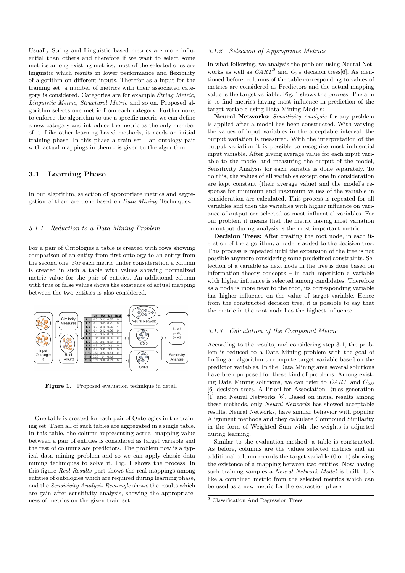Usually String and Linguistic based metrics are more influential than others and therefore if we want to select some metrics among existing metrics, most of the selected ones are linguistic which results in lower performance and flexibility of algorithm on different inputs. Therefor as a input for the training set, a number of metrics with their associated category is considered. Categories are for example String Metric, Linguistic Metric, Structural Metric and so on. Proposed algorithm selects one metric from each category. Furthermore, to enforce the algorithm to use a specific metric we can define a new category and introduce the metric as the only member of it. Like other learning based methods, it needs an initial training phase. In this phase a train set - an ontology pair with actual mappings in them - is given to the algorithm.

## 3.1 Learning Phase

In our algorithm, selection of appropriate metrics and aggregation of them are done based on Data Mining Techniques.

#### 3.1.1 Reduction to a Data Mining Problem

For a pair of Ontologies a table is created with rows showing comparison of an entity from first ontology to an entity from the second one. For each metric under consideration a column is created in such a table with values showing normalized metric value for the pair of entities. An additional column with true or false values shows the existence of actual mapping between the two entities is also considered.



Figure 1. Proposed evaluation technique in detail

One table is created for each pair of Ontologies in the training set. Then all of such tables are aggregated in a single table. In this table, the column representing actual mapping value between a pair of entities is considered as target variable and the rest of columns are predictors. The problem now is a typical data mining problem and so we can apply classic data mining techniques to solve it. Fig. 1 shows the process. In this figure Real Results part shows the real mappings among entities of ontologies which are required during learning phase, and the Sensitivity Analysis Rectangle shows the results which are gain after sensitivity analysis, showing the appropriateness of metrics on the given train set.

## 3.1.2 Selection of Appropriate Metrics

In what following, we analysis the problem using Neural Networks as well as  $CART^2$  and  $C_{5.0}$  decision tress[6]. As mentioned before, columns of the table corresponding to values of metrics are considered as Predictors and the actual mapping value is the target variable. Fig. 1 shows the process. The aim is to find metrics having most influence in prediction of the target variable using Data Mining Models:

Neural Networks: Sensitivity Analysis for any problem is applied after a model has been constructed. With varying the values of input variables in the acceptable interval, the output variation is measured. With the interpretation of the output variation it is possible to recognize most influential input variable. After giving average value for each input variable to the model and measuring the output of the model, Sensitivity Analysis for each variable is done separately. To do this, the values of all variables except one in consideration are kept constant (their average value) and the model's response for minimum and maximum values of the variable in consideration are calculated. This process is repeated for all variables and then the variables with higher influence on variance of output are selected as most influential variables. For our problem it means that the metric having most variation on output during analysis is the most important metric.

Decision Trees: After creating the root node, in each iteration of the algorithm, a node is added to the decision tree. This process is repeated until the expansion of the tree is not possible anymore considering some predefined constraints. Selection of a variable as next node in the tree is done based on information theory concepts – in each repetition a variable with higher influence is selected among candidates. Therefore as a node is more near to the root, its corresponding variable has higher influence on the value of target variable. Hence from the constructed decision tree, it is possible to say that the metric in the root node has the highest influence.

## 3.1.3 Calculation of the Compound Metric

According to the results, and considering step 3-1, the problem is reduced to a Data Mining problem with the goal of finding an algorithm to compute target variable based on the predictor variables. In the Data Mining area several solutions have been proposed for these kind of problems. Among existing Data Mining solutions, we can refer to  $CART$  and  $C_{5.0}$ [6] decision trees, A Priori for Association Rules generation [1] and Neural Networks [6]. Based on initial results among these methods, only Neural Networks has showed acceptable results. Neural Networks, have similar behavior with popular Alignment methods and they calculate Compound Similarity in the form of Weighted Sum with the weights is adjusted during learning.

Similar to the evaluation method, a table is constructed. As before, columns are the values selected metrics and an additional column records the target variable (0 or 1) showing the existence of a mapping between two entities. Now having such training samples a Neural Network Model is built. It is like a combined metric from the selected metrics which can be used as a new metric for the extraction phase.

<sup>2</sup> Classification And Regression Trees